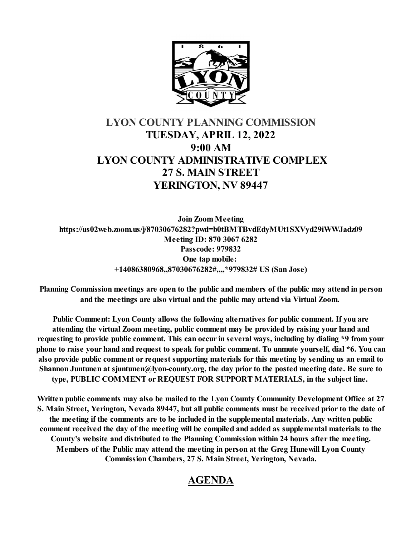

# **LYON COUNTY PLANNING COMMISSION TUESDAY, APRIL 12, 2022 9:00 AM LYON COUNTY ADMINISTRATIVE COMPLEX 27 S. MAIN STREET YERINGTON, NV 89447**

**Join Zoom Meeting https://us02web.zoom.us/j/87030676282?pwd=b0tBMTBvdEdyMUt1SXVyd29iWWJadz09 Meeting ID: 870 3067 6282 Passcode: 979832 One tap mobile: +14086380968,,87030676282#,,,,\*979832# US (San Jose)**

**Planning Commission meetings are open to the public and members of the public may attend in person and the meetings are also virtual and the public may attend via Virtual Zoom.** 

**Public Comment: Lyon County allows the following alternatives for public comment. If you are attending the virtual Zoom meeting, public comment may be provided by raising your hand and requesting to provide public comment. This can occur in several ways, including by dialing \*9 from your phone to raise your hand and request to speak for public comment. To unmute yourself, dial \*6. You can also provide public comment or request supporting materials for this meeting by sending us an email to Shannon Juntunen at sjuntunen@lyon-county.org, the day prior to the posted meeting date. Be sure to type, PUBLIC COMMENT or REQUEST FOR SUPPORT MATERIALS, in the subject line.** 

**Written public comments may also be mailed to the Lyon County Community Development Office at 27 S. Main Street, Yerington, Nevada 89447, but all public comments must be received prior to the date of the meeting if the comments are to be included in the supplemental materials. Any written public comment received the day of the meeting will be compiled and added as supplemental materials to the County's website and distributed to the Planning Commission within 24 hours after the meeting. Members of the Public may attend the meeting in person at the Greg Hunewill Lyon County Commission Chambers, 27 S. Main Street, Yerington, Nevada.**

# **AGENDA**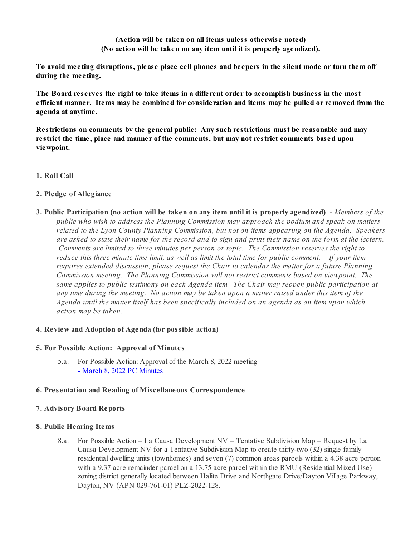**(Action will be taken on all items unless otherwise noted) (No action will be taken on any item until it is properly agendized).**

**To avoid meeting disruptions, please place cell phones and beepers in the silent mode or turn them off during the meeting.**

**The Board reserves the right to take items in a different order to accomplish business in the most efficient manner. Items may be combined for consideration and items may be pulled or removed from the agenda at anytime.** 

**Restrictions on comments by the general public: Any such restrictions must be reasonable and may restrict the time, place and manner of the comments, but may not restrict comments based upon viewpoint.**

**1. Roll Call**

# **2. Pledge of Allegiance**

**3. Public Participation (no action will be taken on any item until it is properly agendized)** - *Members of the public who wish to address the Planning Commission may approach the podium and speak on matters related to the Lyon County Planning Commission, but not on items appearing on the Agenda. Speakers are asked to state their name for the record and to sign and print their name on the form at the lectern. Comments are limited to three minutes per person or topic. The Commission reserves the right to reduce this three minute time limit, as well as limit the total time for public comment. If your item requires extended discussion, please request the Chair to calendar the matter for a future Planning Commission meeting. The Planning Commission will not restrict comments based on viewpoint. The same applies to public testimony on each Agenda item. The Chair may reopen public participation at any time during the meeting. No action may be taken upon a matter raised under this item of the Agenda until the matter itself has been specifically included on an agenda as an item upon which action may be taken.*

## **4. Review and Adoption of Agenda (for possible action)**

## **5. For Possible Action: Approval of Minutes**

5.a. For Possible Action: Approval of the March 8, 2022 meeting [- March 8, 2022 PC Minutes](https://legistarweb-production.s3.amazonaws.com/uploads/attachment/pdf/1318571/3_March_8__2022_PC_Minutes-2.pdf)

## **6. Presentation and Reading of Miscellaneous Correspondence**

## **7. Advisory Board Reports**

## **8. Public Hearing Items**

8.a. For Possible Action – La Causa Development NV – Tentative Subdivision Map – Request by La Causa Development NV for a Tentative Subdivision Map to create thirty-two (32) single family residential dwelling units (townhomes) and seven (7) common areas parcels within a 4.38 acre portion with a 9.37 acre remainder parcel on a 13.75 acre parcel within the RMU (Residential Mixed Use) zoning district generally located between Halite Drive and Northgate Drive/Dayton Village Parkway, Dayton, NV (APN 029-761-01) PLZ-2022-128.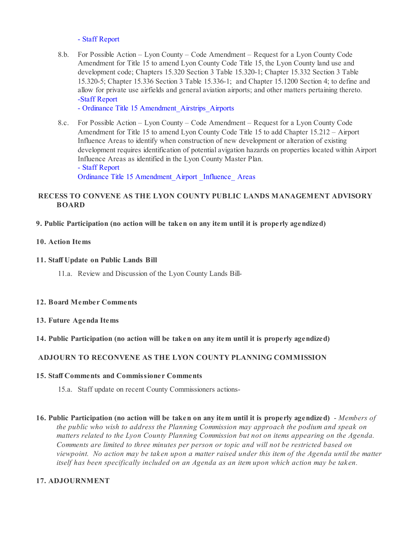#### [- Staff Report](https://legistarweb-production.s3.amazonaws.com/uploads/attachment/pdf/1314115/Gold_Counrty_Estates_Phase_5-PC_04.12.2022_Staff_Report_and_backup.pdf)

8.b. For Possible Action – Lyon County – Code Amendment – Request for a Lyon County Code Amendment for Title 15 to amend Lyon County Code Title 15, the Lyon County land use and development code; Chapters 15.320 Section 3 Table 15.320-1; Chapter 15.332 Section 3 Table 15.320-5; Chapter 15.336 Section 3 Table 15.336-1; and Chapter 15.1200 Section 4; to define and allow for private use airfields and general aviation airports; and other matters pertaining thereto. [-Staff Report](https://legistarweb-production.s3.amazonaws.com/uploads/attachment/pdf/1318087/04.12.2022_PC_Staff_Report_-_ZTA_General_Aviation_Airport_-_Private_Use_Airstrip__3_.pdf)

[- Ordinance Title 15 Amendment\\_Airstrips\\_Airports](https://legistarweb-production.s3.amazonaws.com/uploads/attachment/pdf/1318088/Ord_Title_15_Land_Use___Development_Code_Amendments_Airstrips_Airports_2022_PC_Draft.pdf)

8.c. For Possible Action – Lyon County – Code Amendment – Request for a Lyon County Code Amendment for Title 15 to amend Lyon County Code Title 15 to add Chapter 15.212 – Airport Influence Areas to identify when construction of new development or alteration of existing development requires identification of potential avigation hazards on properties located within Airport Influence Areas as identified in the Lyon County Master Plan. [- Staff Report](https://legistarweb-production.s3.amazonaws.com/uploads/attachment/pdf/1318102/04.12.2022_PC_Staff_Report_-_ZTA_Airport_Influence_Areas.pdf)

[Ordinance Title 15 Amendment\\_Airport \\_Influence\\_ Areas](https://legistarweb-production.s3.amazonaws.com/uploads/attachment/pdf/1318103/Ord_Title_15_Land_Use___Development_Code_Amendment_Airport_Influence_Areas_04.12.2022_PC_Draft__w-out_Section_2_.pdf)

# **RECESS TO CONVENE AS THE LYON COUNTY PUBLIC LANDS MANAGEMENT ADVISORY BOARD**

#### **9. Public Participation (no action will be taken on any item until it is properly agendized)**

#### **10. Action Items**

#### **11. Staff Update on Public Lands Bill**

11.a. Review and Discussion of the Lyon County Lands Bill-

#### **12. Board Member Comments**

#### **13. Future Agenda Items**

## **14. Public Participation (no action will be taken on any item until it is properly agendized)**

# **ADJOURN TO RECONVENE AS THE LYON COUNTY PLANNING COMMISSION**

#### **15. Staff Comments and Commissioner Comments**

- 15.a. Staff update on recent County Commissioners actions-
- **16. Public Participation (no action will be taken on any item until it is properly agendized)** *Members of the public who wish to address the Planning Commission may approach the podium and speak on matters related to the Lyon County Planning Commission but not on items appearing on the Agenda. Comments are limited to three minutes per person or topic and will not be restricted based on viewpoint. No action may be taken upon a matter raised under this item of the Agenda until the matter itself has been specifically included on an Agenda as an item upon which action may be taken.*

# **17. ADJOURNMENT**